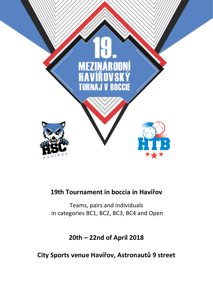

## **19th Tournament in boccia in Havířov**

Teams, pairs and individuals in categories BC1, BC2, BC3, BC4 and Open

**20th – 22nd of April 2018**

**City Sports venue Havířov, Astronautů 9 street**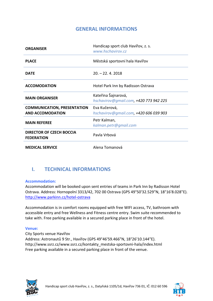## **GENERAL INFORMATIONS**

| <b>ORGANISER</b>                                              | Handicap sport club Havířov, z. s.<br>www.hschavirov.cz       |
|---------------------------------------------------------------|---------------------------------------------------------------|
| <b>PLACE</b>                                                  | Městská sportovní hala Havířov                                |
| <b>DATE</b>                                                   | $20. - 22. 4. 2018$                                           |
| <b>ACCOMODATION</b>                                           | Hotel Park Inn by Radisson Ostrava                            |
| <b>MAIN ORGANISER</b>                                         | Kateřina Šajnarová,<br>hschavirov@gmail.com, +420 773 942 225 |
| <b>COMMUNICATION, PRESENTATION</b><br><b>AND ACCOMODATION</b> | Eva Kučerová,<br>hschavirov@gmail.com, +420 606 039 903       |
| <b>MAIN REFEREE</b>                                           | Petr Kalman,<br>kalman.petr@gmail.com                         |
| <b>DIRECTOR OF CZECH BOCCIA</b><br><b>FEDERATION</b>          | Pavla Vrbová                                                  |
| <b>MEDICAL SERVICE</b>                                        | Alena Tomanová                                                |

## **I. TECHNICAL INFORMATIONS**

#### **Accommodation:**

Accommodation will be booked upon sent entries of teams in Park Inn by Radisson Hotel Ostrava. Address: Hornopolní 3313/42, 702 00 Ostrava (GPS 49°50'32.529"N, 18°16'8.028"E). <http://www.parkinn.cz/hotel-ostrava>

Accommodation is in comfort rooms equipped with free WIFI access, TV, bathroom with accessible entry and free Wellness and Fitness centre entry. Swim suite recommended to take with. Free parking available in a secured parking place in front of the hotel.

#### **Venue:**

City Sports venue Havířov Address: Astronautů 9 Str., Havířov (GPS 49°46'59.466"N, 18°26'10.144"E). http://www.ssrz.cz/www.ssrz.cz/kontakty\_mestska-sportovni-hala/index.html Free parking available in a secured parking place in front of the venue.



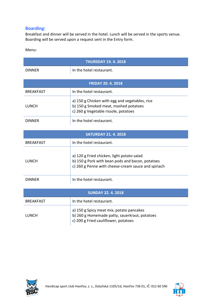### **Boarding:**

Breakfast and dinner will be served in the hotel. Lunch will be served in the sports venue. Boarding will be served upon a request sent in the Entry form.

Menu:

| <b>THURSDAY 19. 4. 2018</b> |                                                                                                                                                      |  |
|-----------------------------|------------------------------------------------------------------------------------------------------------------------------------------------------|--|
| <b>DINNER</b>               | In the hotel restaurant.                                                                                                                             |  |
| <b>FRIDAY 20. 4. 2018</b>   |                                                                                                                                                      |  |
| <b>BREAKFAST</b>            | In the hotel restaurant.                                                                                                                             |  |
| <b>LUNCH</b>                | a) 150 g Chicken with egg and vegetables, rice<br>b) 150 g Smoked meat, mashed potatoes<br>c) 260 g Vegetable rissole, potatoes                      |  |
| <b>DINNER</b>               | In the hotel restaurant.                                                                                                                             |  |
| <b>SATURDAY 21. 4. 2018</b> |                                                                                                                                                      |  |
| <b>BREAKFAST</b>            | In the hotel restaurant.                                                                                                                             |  |
| <b>LUNCH</b>                | a) 120 g Fried chicken, light potato salad<br>b) 150 g Pork with bean pods and bacon, potatoes<br>c) 260 g Penne with cheese-cream sauce and spinach |  |
| <b>DINNER</b>               | In the hotel restaurant.                                                                                                                             |  |
| <b>SUNDAY 22.4.2018</b>     |                                                                                                                                                      |  |
| <b>BREAKFAST</b>            | In the hotel restaurant.                                                                                                                             |  |
| <b>LUNCH</b>                | a) 150 g Spicy meat mix, potato pancakes<br>b) 260 g Homemade patty, sauerkraut, potatoes<br>c) 200 g Fried cauliflower, potatoes                    |  |



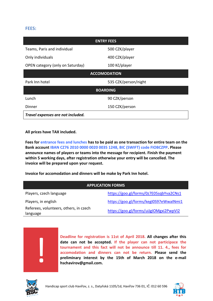#### **FEES:**

| <b>ENTRY FEES</b>                 |                      |  |  |
|-----------------------------------|----------------------|--|--|
| Teams, Paris and individual       | 500 CZK/player       |  |  |
| Only individuals                  | 400 CZK/player       |  |  |
| OPEN category (only on Saturday)  | 100 Kč/player        |  |  |
| <b>ACCOMODATION</b>               |                      |  |  |
| Park Inn hotel                    | 535 CZK/person/night |  |  |
| <b>BOARDING</b>                   |                      |  |  |
| Lunch                             | 90 CZK/person        |  |  |
| Dinner                            | 150 CZK/person       |  |  |
| Travel expenses are not included. |                      |  |  |

**All prices have TAX included.**

**Fees for entrance fees and lunches has to be paid as one transaction for entire team on the Bank account IBAN CZ76 2010 0000 0020 0035 1248, BIC (SWIFT) code FIOBCZPP. Please announce names of players or teams into the message for recipient. Finish the payment within 5 working days, after registration otherwise your entry will be cancelled. The invoice will be prepared upon your request.** 

**Invoice for accomodation and dinners will be make by Park Inn hotel.**

| <b>APPLICATION FORMS</b>                           |                                        |  |  |
|----------------------------------------------------|----------------------------------------|--|--|
| Players, czech language                            | https://goo.gl/forms/0z7E05sqbYva2CNs1 |  |  |
| Players, in english                                | https://goo.gl/forms/kegI0S97eWwaINmi1 |  |  |
| Referees, volunteers, others, in czech<br>language | https://goo.gl/forms/uiJgIOMgxi2PwpVI2 |  |  |

**Deadline for registration is 11st of April 2018. All changes after this date can not be accepted. If the player can not participace the tournament and this fact will not be announce till 11. 4., fees for accomodation and dinners can not be return. Please send the preliminary interest by the 15th of March 2018 on the e-mail hschavirov@gmail.com.**



!

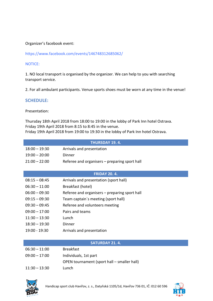#### Organizer's facebook event:

https://www.facebook.com/events/146748312685062/

#### NOTICE:

1. NO local transport is organised by the organizer. We can help to you with searching transport service.

2. For all ambulant participants. Venue sports shoes must be worn at any time in the venue!

#### **SCHEDULE:**

Presentation:

Thursday 18th April 2018 from 18:00 to 19:00 in the lobby of Park Inn hotel Ostrava. Friday 19th April 2018 from 8:15 to 8:45 in the venue. Friday 19th April 2018 from 19:00 to 19:30 in the lobby of Park Inn hotel Ostrava.

| <b>THURSDAY 19.4.</b> |                                               |  |
|-----------------------|-----------------------------------------------|--|
| $18:00 - 19:30$       | Arrivals and presentation                     |  |
| $19:00 - 20:00$       | Dinner                                        |  |
| $21:00 - 22:00$       | Referee and organisers – preparing sport hall |  |
|                       |                                               |  |
| <b>FRIDAY 20.4.</b>   |                                               |  |
| $08:15 - 08:45$       | Arrivals and presentation (sport hall)        |  |
| $06:30 - 11:00$       | Breakfast (hotel)                             |  |
| $06:00 - 09:30$       | Referee and organisers – preparing sport hall |  |
| $09:15 - 09:30$       | Team captain's meeting (sport hall)           |  |
| $09:30 - 09:45$       | Referee and volunteers meeting                |  |
| $09:00 - 17:00$       | Pairs and teams                               |  |
| $11:30 - 13:30$       | Lunch                                         |  |
| $18:30 - 19:30$       | Dinner                                        |  |
| 19:00 - 19:30         | Arrivals and presentation                     |  |
|                       |                                               |  |

#### **SATURDAY 21. 4.**

| $06:30 - 11:00$ | <b>Breakfast</b>                            |
|-----------------|---------------------------------------------|
| $09:00 - 17:00$ | Individuals, 1st part                       |
|                 | OPEN tournament (sport hall – smaller hall) |
| $11:30 - 13:30$ | Lunch                                       |



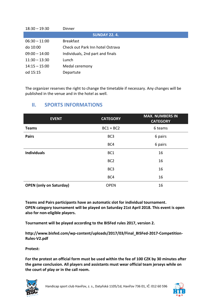| $18:30 - 19:30$     | Dinner                           |  |  |
|---------------------|----------------------------------|--|--|
| <b>SUNDAY 22.4.</b> |                                  |  |  |
| $06:30 - 11:00$     | <b>Breakfast</b>                 |  |  |
| do 10:00            | Check out Park Inn hotel Ostrava |  |  |
| $09:00 - 14:00$     | Individuals, 2nd part and finals |  |  |
| $11:30 - 13:30$     | Lunch                            |  |  |
| $14:15 - 15:00$     | Medal ceremony                   |  |  |
| od 15:15            | Departute                        |  |  |

The organizer reserves the right to change the timetable if necessary. Any changes will be published in the venue and in the hotel as well.

## **II. SPORTS INFORMATIONS**

| <b>EVENT</b>                   | <b>CATEGORY</b> | <b>MAX. NUMBERS IN</b><br><b>CATEGORY</b> |
|--------------------------------|-----------------|-------------------------------------------|
| <b>Teams</b>                   | $BC1 + BC2$     | 6 teams                                   |
| <b>Pairs</b>                   | BC <sub>3</sub> | 6 pairs                                   |
|                                | BC4             | 6 pairs                                   |
| <b>Individuals</b>             | BC1             | 16                                        |
|                                | BC <sub>2</sub> | 16                                        |
|                                | BC <sub>3</sub> | 16                                        |
|                                | BC4             | 16                                        |
| <b>OPEN</b> (only on Saturday) | <b>OPEN</b>     | 16                                        |

**Teams and Pairs participants have an automatic slot for individual tournament. OPEN category tournament will be played on Saturday 21st April 2018. This event is open also for non-eligible players.**

**Tournament will be played according to the BISFed rules 2017, version 2.**

**http://www.bisfed.com/wp-content/uploads/2017/03/Final\_BISFed-2017-Competition-Rules-V2.pdf**

**Protest:**

**For the protest an official form must be used within the fee of 100 CZK by 30 minutes after the game conclusion. All players and assistants must wear official team jerseys while on the court of play or in the call room.**